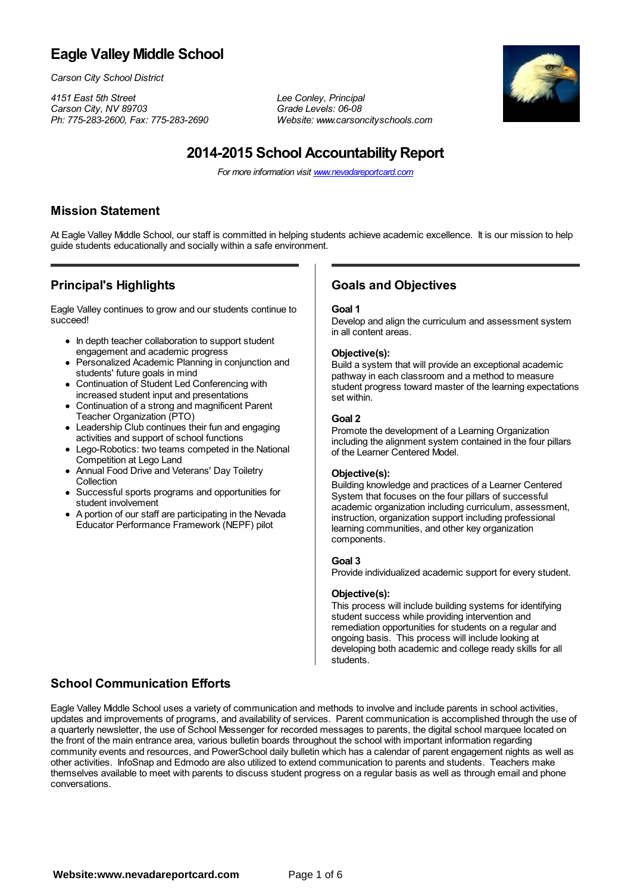## **Eagle Valley Middle School**

*Carson City School District*

*4151 East 5th Street Lee Conley, Principal Carson City, NV 89703 Grade Levels: 06-08*

*Ph: 775-283-2600, Fax: 775-283-2690 Website: www.carsoncityschools.com*



# **2014-2015 School AccountabilityReport**

*For more information visit www.nevadareportcard.com*

#### **Mission Statement**

At Eagle Valley Middle School, our staff is committed in helping students achieve academic excellence. It is our mission to help guide students educationally and socially within a safe environment.

### **Principal's Highlights**

Eagle Valley continues to grow and our students continue to succeed!

- In depth teacher collaboration to support student engagement and academic progress
- Personalized Academic Planning in conjunction and students' future goals in mind
- Continuation of Student Led Conferencing with increased student input and presentations
- Continuation of a strong and magnificent Parent  $\bullet$ Teacher Organization (PTO)
- Leadership Club continues their fun and engaging activities and support of school functions
- Lego-Robotics: two teams competed in the National Competition at Lego Land
- Annual Food Drive and Veterans' Day Toiletry **Collection**
- Successful sports programs and opportunities for student involvement
- A portion of our staff are participating in the Nevada Educator Performance Framework (NEPF) pilot

#### **Goals and Objectives**

#### **Goal 1**

Develop and align the curriculum and assessment system in all content areas.

#### **Objective(s):**

Build a system that will provide an exceptional academic pathway in each classroom and a method to measure student progress toward master of the learning expectations set within.

#### **Goal 2**

Promote the development of a Learning Organization including the alignment system contained in the four pillars of the Learner Centered Model.

#### **Objective(s):**

Building knowledge and practices of a Learner Centered System that focuses on the four pillars of successful academic organization including curriculum, assessment, instruction, organization support including professional learning communities, and other key organization components.

#### **Goal 3**

Provide individualized academic support for every student.

#### **Objective(s):**

This process will include building systems for identifying student success while providing intervention and remediation opportunities for students on a regular and ongoing basis. This process will include looking at developing both academic and college ready skills for all students.

#### **School Communication Efforts**

Eagle Valley Middle School uses a variety of communication and methods to involve and include parents in school activities, updates and improvements of programs, and availability of services. Parent communication is accomplished through the use of a quarterly newsletter, the use of School Messenger for recorded messages to parents, the digital school marquee located on the front of the main entrance area, various bulletin boards throughout the school with important information regarding community events and resources, and PowerSchool daily bulletin which has a calendar of parent engagement nights as well as other activities. InfoSnap and Edmodo are also utilized to extend communication to parents and students. Teachers make themselves available to meet with parents to discuss student progress on a regular basis as well as through email and phone conversations.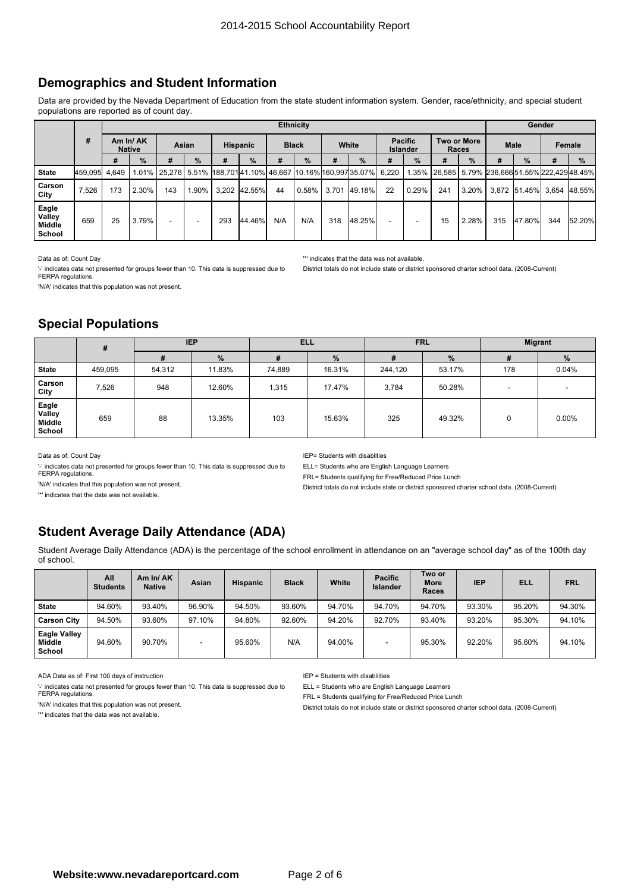### **Demographics and Student Information**

Data are provided by the Nevada Department of Education from the state student information system. Gender, race/ethnicity, and special student populations are reported as of count day.

|                                     |               |               |               |       |          |                 |              | <b>Ethnicity</b> |               |       |                                                                              |    |                                   |       |             | Gender |               |                                                     |               |  |
|-------------------------------------|---------------|---------------|---------------|-------|----------|-----------------|--------------|------------------|---------------|-------|------------------------------------------------------------------------------|----|-----------------------------------|-------|-------------|--------|---------------|-----------------------------------------------------|---------------|--|
|                                     | #             | <b>Native</b> | Am In/AK      | Asian |          | <b>Hispanic</b> |              |                  | <b>Black</b>  |       | White                                                                        |    | <b>Pacific</b><br><b>Islander</b> | Races | Two or More | Male   |               | Female                                              |               |  |
|                                     |               | #             | $\frac{9}{6}$ | #     | $\%$     |                 | $\%$         | #                | $\frac{9}{6}$ | #     | $\%$                                                                         | #  | $\%$                              | #     | $\%$        | #      | $\frac{9}{6}$ |                                                     | $\frac{9}{6}$ |  |
| <b>State</b>                        | 459,095 4,649 |               |               |       |          |                 |              |                  |               |       | l.01%  25,276   5.51%  188,701 41.10%  46,667  10.16% 160,997 35.07%   6,220 |    |                                   |       |             |        |               | .35%   26,585   5.79% 236,666 51.55% 222,429 48.45% |               |  |
| Carson<br>City                      | 7,526         | 173           | 2.30%         | 143   | $1.90\%$ |                 | 3.202 42.55% | 44               | $0.58\%$ I    | 3.701 | 49.18%                                                                       | 22 | 0.29%                             | 241   | $3.20\%$    |        |               | 3,872 51.45% 3,654 48.55%                           |               |  |
| Eagle<br>Valley<br>Middle<br>School | 659           | 25            | 3.79%         |       |          | 293             | 44.46%       | N/A              | N/A           | 318   | 48.25%                                                                       | ۰. |                                   | 15    | 2.28%       | 315    | 47.80%        | 344                                                 | 52.20%        |  |

Data as of: Count Day

'-' indicates data not presented for groups fewer than 10. This data is suppressed due to FERPA regulations 'N/A' indicates that this population was not present.

'\*' indicates that the data was not available.

District totals do not include state or district sponsored charter school data. (2008-Current)

### **Special Populations**

|                                     | #       | <b>IEP</b> |        | <b>ELL</b> |        | <b>FRL</b> |        | <b>Migrant</b> |                          |  |
|-------------------------------------|---------|------------|--------|------------|--------|------------|--------|----------------|--------------------------|--|
|                                     |         | #          | %      | #          | $\%$   | #          | $\%$   | #              | %                        |  |
| <b>State</b>                        | 459,095 | 54,312     | 11.83% | 74,889     | 16.31% | 244,120    | 53.17% | 178            | 0.04%                    |  |
| Carson<br>City                      | 7,526   | 948        | 12.60% | 1,315      | 17.47% | 3,784      | 50.28% | -              | $\overline{\phantom{a}}$ |  |
| Eagle<br>Valley<br>Middle<br>School | 659     | 88         | 13.35% | 103        | 15.63% | 325        | 49.32% | $\Omega$       | 0.00%                    |  |

Data as of: Count Day

'-' indicates data not presented for groups fewer than 10. This data is suppressed due to FERPA regulations.

'N/A' indicates that this population was not present.

IEP= Students with disablities

ELL= Students who are English Language Learners

FRL= Students qualifying for Free/Reduced Price Lunch District totals do not include state or district sponsored charter school data. (2008-Current)

'\*' indicates that the data was not available.

## **Student Average Daily Attendance (ADA)**

Student Average Daily Attendance (ADA) is the percentage of the school enrollment in attendance on an "average school day" as of the 100th day of school.

|                                                | All<br><b>Students</b> | Am In/AK<br><b>Native</b> | Asian  | <b>Hispanic</b> | <b>Black</b> | White  | <b>Pacific</b><br><b>Islander</b> | Two or<br><b>More</b><br>Races | <b>IEP</b> | ELL    | <b>FRL</b> |
|------------------------------------------------|------------------------|---------------------------|--------|-----------------|--------------|--------|-----------------------------------|--------------------------------|------------|--------|------------|
| <b>State</b>                                   | 94.60%                 | 93.40%                    | 96.90% | 94.50%          | 93.60%       | 94.70% | 94.70%                            | 94.70%                         | 93.30%     | 95.20% | 94.30%     |
| <b>Carson City</b>                             | 94.50%                 | 93.60%                    | 97.10% | 94.80%          | 92.60%       | 94.20% | 92.70%                            | 93.40%                         | 93.20%     | 95.30% | 94.10%     |
| <b>Eagle Valley</b><br><b>Middle</b><br>School | 94.60%                 | 90.70%                    |        | 95.60%          | N/A          | 94.00% |                                   | 95.30%                         | 92.20%     | 95.60% | 94.10%     |

ADA Data as of: First 100 days of instruction

'-' indicates data not presented for groups fewer than 10. This data is suppressed due to FERPA regulations.

'N/A' indicates that this population was not present.

'\*' indicates that the data was not available.

IEP <sup>=</sup> Students with disabilities

ELL <sup>=</sup> Students who are English Language Learners

FRL <sup>=</sup> Students qualifying for Free/Reduced Price Lunch

District totals do not include state or district sponsored charter school data. (2008-Current)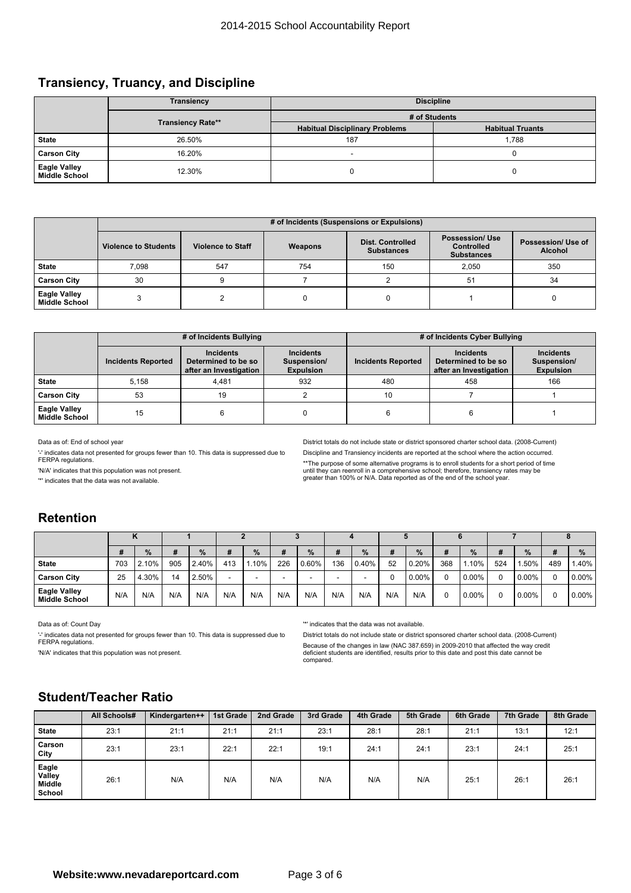#### **Transiency, Truancy, and Discipline**

|                               | <b>Transiency</b>        |                                       | <b>Discipline</b>       |
|-------------------------------|--------------------------|---------------------------------------|-------------------------|
|                               |                          | # of Students                         |                         |
|                               | <b>Transiency Rate**</b> | <b>Habitual Disciplinary Problems</b> | <b>Habitual Truants</b> |
| <b>State</b>                  | 26.50%                   | 187                                   | 1.788                   |
| <b>Carson City</b>            | 16.20%                   |                                       |                         |
| Eagle Valley<br>Middle School | 12.30%                   |                                       |                         |

|                                             |                             |                          | # of Incidents (Suspensions or Expulsions) |                                              |                                                                  |                                      |
|---------------------------------------------|-----------------------------|--------------------------|--------------------------------------------|----------------------------------------------|------------------------------------------------------------------|--------------------------------------|
|                                             | <b>Violence to Students</b> | <b>Violence to Staff</b> | Weapons                                    | <b>Dist. Controlled</b><br><b>Substances</b> | <b>Possession/ Use</b><br><b>Controlled</b><br><b>Substances</b> | Possession/ Use of<br><b>Alcohol</b> |
| <b>State</b>                                | 7.098                       | 547                      | 754                                        | 150                                          | 2.050                                                            | 350                                  |
| <b>Carson City</b>                          | 30                          |                          |                                            |                                              | 51                                                               | 34                                   |
| <b>Eagle Valley</b><br><b>Middle School</b> |                             |                          |                                            |                                              |                                                                  |                                      |

|                                             |                           | # of Incidents Bullying                                           |                                                     |                           | # of Incidents Cyber Bullying                                     |                                                     |
|---------------------------------------------|---------------------------|-------------------------------------------------------------------|-----------------------------------------------------|---------------------------|-------------------------------------------------------------------|-----------------------------------------------------|
|                                             | <b>Incidents Reported</b> | <b>Incidents</b><br>Determined to be so<br>after an Investigation | <b>Incidents</b><br>Suspension/<br><b>Expulsion</b> | <b>Incidents Reported</b> | <b>Incidents</b><br>Determined to be so<br>after an Investigation | <b>Incidents</b><br>Suspension/<br><b>Expulsion</b> |
| <b>State</b>                                | 5.158                     | 4.481                                                             | 932                                                 | 480                       | 458                                                               | 166                                                 |
| <b>Carson City</b>                          | 53                        | 19                                                                |                                                     | 10                        |                                                                   |                                                     |
| <b>Eagle Valley</b><br><b>Middle School</b> | 15                        |                                                                   |                                                     |                           |                                                                   |                                                     |

Data as of: End of school year

'-' indicates data not presented for groups fewer than 10. This data is suppressed due to FERPA regulations.

District totals do not include state or district sponsored charter school data. (2008-Current) Discipline and Transiency incidents are reported at the school where the action occurred. \*\*The purpose of some alternative programs is to enroll students for a short period of time<br>until they can reenroll in a comprehensive school; therefore, transiency rates may be<br>greater than 100% or N/A. Data reported as o

'N/A' indicates that this population was not present.

'\*' indicates that the data was not available.

### **Retention**

|                                             | #   | $\%$  | #   | $\%$  | #   | $\%$   | #   | $\%$  | #   | $\%$     | #   | $\frac{9}{6}$ | #   | $\frac{9}{6}$ | #   | $\%$     | #        | %        |  |
|---------------------------------------------|-----|-------|-----|-------|-----|--------|-----|-------|-----|----------|-----|---------------|-----|---------------|-----|----------|----------|----------|--|
| <b>State</b>                                | 703 | 2.10% | 905 | 2.40% | 413 | $10\%$ | 226 | 0.60% | 136 | $0.40\%$ | 52  | 10.20%        | 368 | 1.10%         | 524 | $.50\%$  | 489      | 1.40%    |  |
| <b>Carson City</b>                          | 25  | 4.30% | 14  | 2.50% |     |        |     |       |     |          |     | $0.00\%$      |     | 0.00%         | 0   | $0.00\%$ | $\Omega$ | $0.00\%$ |  |
| <b>Eagle Valley</b><br><b>Middle School</b> | N/A | N/A   | N/A | N/A   | N/A | N/A    | N/A | N/A   | N/A | N/A      | N/A | N/A           |     | 0.00%         | 0   | 0.00%    | $\Omega$ | $0.00\%$ |  |

Data as of: Count Day

'-' indicates data not presented for groups fewer than 10. This data is suppressed due to FERPA regulations.

'N/A' indicates that this population was not present.

'\*' indicates that the data was not available.

District totals do not include state or district sponsored charter school data. (2008-Current) Because of the changes in law (NAC 387.659) in 2009-2010 that affected the way credit deficient students are identified, results prior to this date and post this date cannot be compared.

#### **Student/Teacher Ratio**

|                                     | All Schools# | Kindergarten++ | 1st Grade | 2nd Grade | 3rd Grade | 4th Grade | 5th Grade | 6th Grade | 7th Grade | 8th Grade |
|-------------------------------------|--------------|----------------|-----------|-----------|-----------|-----------|-----------|-----------|-----------|-----------|
| <b>State</b>                        | 23:1         | 21:1           | 21:1      | 21:1      | 23:1      | 28:1      | 28:1      | 21:1      | 13:1      | 12:1      |
| Carson<br>City                      | 23:1         | 23:1           | 22:1      | 22:1      | 19:1      | 24:1      | 24:1      | 23:1      | 24:1      | 25:1      |
| Eagle<br>Valley<br>Middle<br>School | 26:1         | N/A            | N/A       | N/A       | N/A       | N/A       | N/A       | 25:1      | 26:1      | 26:1      |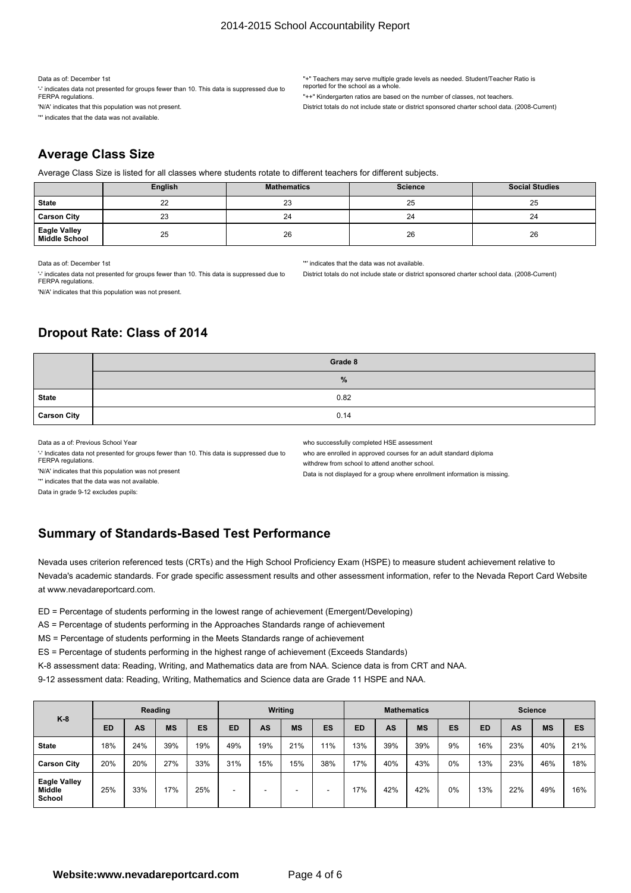#### 2014-2015 School Accountability Report

Data as of: December 1st

'-' indicates data not presented for groups fewer than 10. This data is suppressed due to FERPA regulations

'N/A' indicates that this population was not present. '\*' indicates that the data was not available.

"+" Teachers may serve multiple grade levels as needed. Student/Teacher Ratio is reported for the school as a who

"++" Kindergarten ratios are based on the number of classes, not teachers.

District totals do not include state or district sponsored charter school data. (2008-Current)

District totals do not include state or district sponsored charter school data. (2008-Current)

## **Average Class Size**

Average Class Size is listed for all classes where students rotate to different teachers for different subjects.

|                                      | English | <b>Mathematics</b> | <b>Science</b> | <b>Social Studies</b> |
|--------------------------------------|---------|--------------------|----------------|-----------------------|
| <b>State</b>                         | 22      | 23                 | 25             | 25                    |
| <b>Carson City</b>                   | 23      | 24                 | 24             | 24                    |
| <b>Eagle Valley</b><br>Middle School | 25      | 26                 | 26             | 26                    |

Data as of: December 1st

'-' indicates data not presented for groups fewer than 10. This data is suppressed due to FERPA regulations

'N/A' indicates that this population was not present.

## **Dropout Rate: Class of 2014**

|                    | Grade 8       |
|--------------------|---------------|
|                    | $\frac{9}{6}$ |
| <b>State</b>       | 0.82          |
| <b>Carson City</b> | 0.14          |

Data as a of: Previous School Year

'-' Indicates data not presented for groups fewer than 10. This data is suppressed due to FERPA regulations.

who successfully completed HSE assessment

'\*' indicates that the data was not available.

who are enrolled in approved courses for an adult standard diploma

withdrew from school to attend another school.

'N/A' indicates that this population was not present

Data is not displayed for <sup>a</sup> group where enrollment information is missing.

'\*' indicates that the data was not available.

Data in grade 9-12 excludes pupils:

### **Summary of Standards-Based Test Performance**

Nevada uses criterion referenced tests (CRTs) and the High School Proficiency Exam (HSPE) to measure student achievement relative to Nevada's academic standards. For grade specific assessment results and other assessment information, refer to the Nevada Report Card Website at www.nevadareportcard.com.

ED <sup>=</sup> Percentage of students performing in the lowest range of achievement (Emergent/Developing)

AS <sup>=</sup> Percentage of students performing in the Approaches Standards range of achievement

MS <sup>=</sup> Percentage of students performing in the Meets Standards range of achievement

ES <sup>=</sup> Percentage of students performing in the highest range of achievement (Exceeds Standards)

K-8 assessment data: Reading, Writing, and Mathematics data are from NAA. Science data is from CRT and NAA.

9-12 assessment data: Reading, Writing, Mathematics and Science data are Grade 11 HSPE and NAA.

| $K-8$<br><b>State</b>                   |           |     | Reading   |     | Writing |     |           | <b>Mathematics</b> |           |     |           | <b>Science</b> |           |     |           |     |
|-----------------------------------------|-----------|-----|-----------|-----|---------|-----|-----------|--------------------|-----------|-----|-----------|----------------|-----------|-----|-----------|-----|
|                                         | <b>ED</b> | AS  | <b>MS</b> | ES  | ED      | AS  | <b>MS</b> | ES                 | <b>ED</b> | AS  | <b>MS</b> | ES             | <b>ED</b> | AS  | <b>MS</b> | ES  |
|                                         | 18%       | 24% | 39%       | 19% | 49%     | 19% | 21%       | 11%                | 13%       | 39% | 39%       | 9%             | 16%       | 23% | 40%       | 21% |
| <b>Carson City</b>                      | 20%       | 20% | 27%       | 33% | 31%     | 15% | 15%       | 38%                | 17%       | 40% | 43%       | 0%             | 13%       | 23% | 46%       | 18% |
| <b>Eagle Valley</b><br>Middle<br>School | 25%       | 33% | 17%       | 25% |         |     |           | -                  | 17%       | 42% | 42%       | 0%             | 13%       | 22% | 49%       | 16% |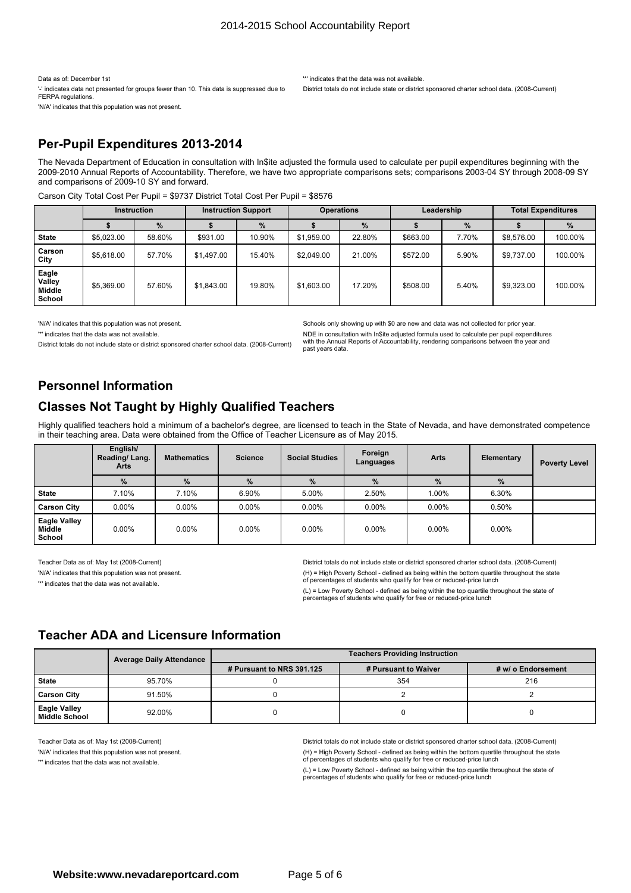Data as of: December 1st

'-' indicates data not presented for groups fewer than 10. This data is suppressed due to FERPA regulations.

'N/A' indicates that this population was not present.

'\*' indicates that the data was not available. District totals do not include state or district sponsored charter school data. (2008-Current)

#### **Per-Pupil Expenditures 2013-2014**

The Nevada Department of Education in consultation with In\$ite adjusted the formula used to calculate per pupil expenditures beginning with the 2009-2010 Annual Reports of Accountability. Therefore, we have two appropriate comparisons sets; comparisons 2003-04 SY through 2008-09 SY and comparisons of 2009-10 SY and forward.

Carson City Total Cost Per Pupil <sup>=</sup> \$9737 District Total Cost Per Pupil <sup>=</sup> \$8576

|                                            |            | <b>Instruction</b> |            | <b>Instruction Support</b> | <b>Operations</b> |        |          | Leadership |            | <b>Total Expenditures</b> |
|--------------------------------------------|------------|--------------------|------------|----------------------------|-------------------|--------|----------|------------|------------|---------------------------|
|                                            |            | $\%$               |            | %                          | $\frac{9}{6}$     |        |          | %          |            | %                         |
| <b>State</b>                               | \$5,023,00 | 58.60%             | \$931.00   | 10.90%                     | \$1,959.00        | 22.80% | \$663.00 | 7.70%      | \$8,576.00 | 100.00%                   |
| Carson<br>City                             | \$5,618.00 | 57.70%             | \$1,497.00 | 15.40%                     | \$2.049.00        | 21.00% | \$572.00 | 5.90%      | \$9,737.00 | 100.00%                   |
| Eagle<br>Valley<br><b>Middle</b><br>School | \$5,369.00 | 57.60%             | \$1,843.00 | 19.80%                     | \$1,603.00        | 17.20% | \$508.00 | 5.40%      | \$9,323,00 | 100.00%                   |

'N/A' indicates that this population was not present.

'\*' indicates that the data was not available.

District totals do not include state or district sponsored charter school data. (2008-Current)

Schools only showing up with \$0 are new and data was not collected for prior year. NDE in consultation with In\$ite adjusted formula used to calculate per pupil expenditures with the Annual Reports of Accountability, rendering comparisons between the year and past years data.

### **Personnel Information**

## **Classes Not Taught by Highly Qualified Teachers**

Highly qualified teachers hold <sup>a</sup> minimum of <sup>a</sup> bachelor's degree, are licensed to teach in the State of Nevada, and have demonstrated competence in their teaching area. Data were obtained from the Office of Teacher Licensure as of May 2015.

|                                         | English/<br>Reading/Lang.<br>Arts | <b>Mathematics</b> | <b>Science</b> | <b>Social Studies</b> | Foreign<br>Languages | <b>Arts</b> | Elementary | <b>Poverty Level</b> |
|-----------------------------------------|-----------------------------------|--------------------|----------------|-----------------------|----------------------|-------------|------------|----------------------|
|                                         | %                                 | $\%$               | %              | %                     | %                    | $\%$        | $\%$       |                      |
| <b>State</b>                            | 7.10%                             | 7.10%              | 6.90%          | 5.00%                 | 2.50%                | 1.00%       | 6.30%      |                      |
| <b>Carson City</b>                      | $0.00\%$                          | $0.00\%$           | $0.00\%$       | $0.00\%$              | $0.00\%$             | $0.00\%$    | 0.50%      |                      |
| <b>Eagle Valley</b><br>Middle<br>School | $0.00\%$                          | $0.00\%$           | $0.00\%$       | $0.00\%$              | $0.00\%$             | $0.00\%$    | $0.00\%$   |                      |

Teacher Data as of: May 1st (2008-Current)

'N/A' indicates that this population was not present.

'\*' indicates that the data was not available.

District totals do not include state or district sponsored charter school data. (2008-Current) (H) <sup>=</sup> High Poverty School - defined as being within the bottom quartile throughout the state of percentages of students who qualify for free or reduced-price lunch

(L) <sup>=</sup> Low Poverty School - defined as being within the top quartile throughout the state of percentages of students who qualify for free or reduced-price lunch

#### **Teacher ADA and Licensure Information**

|                                             | <b>Average Daily Attendance</b> | <b>Teachers Providing Instruction</b> |                      |                    |  |
|---------------------------------------------|---------------------------------|---------------------------------------|----------------------|--------------------|--|
|                                             |                                 | # Pursuant to NRS 391.125             | # Pursuant to Waiver | # w/ o Endorsement |  |
| <b>State</b>                                | 95.70%                          |                                       | 354                  | 216                |  |
| <b>Carson City</b>                          | 91.50%                          |                                       |                      |                    |  |
| <b>Eagle Valley</b><br><b>Middle School</b> | 92.00%                          |                                       |                      |                    |  |

Teacher Data as of: May 1st (2008-Current) 'N/A' indicates that this population was not present.

'\*' indicates that the data was not available.

District totals do not include state or district sponsored charter school data. (2008-Current) (H) <sup>=</sup> High Poverty School - defined as being within the bottom quartile throughout the state of percentages of students who qualify for free or reduced-price lunch

(L) <sup>=</sup> Low Poverty School - defined as being within the top quartile throughout the state of percentages of students who qualify for free or reduced-price lunch